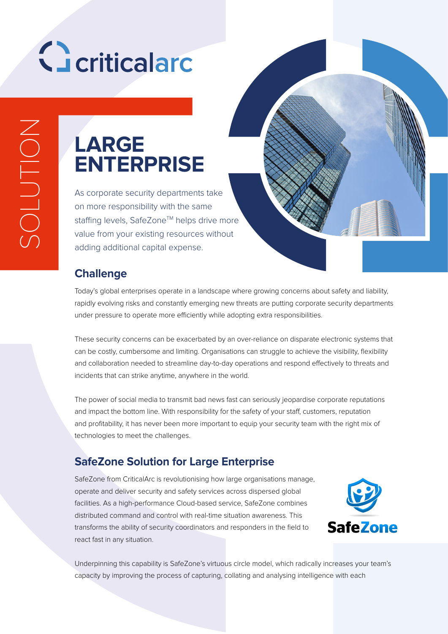# Geriticalard

### **LARGE ENTERPRISE**

As corporate security departments take on more responsibility with the same staffing levels, SafeZone™ helps drive more value from your existing resources without adding additional capital expense.

#### **Challenge**

Today's global enterprises operate in a landscape where growing concerns about safety and liability, rapidly evolving risks and constantly emerging new threats are putting corporate security departments under pressure to operate more efficiently while adopting extra responsibilities.

These security concerns can be exacerbated by an over-reliance on disparate electronic systems that can be costly, cumbersome and limiting. Organisations can struggle to achieve the visibility, flexibility and collaboration needed to streamline day-to-day operations and respond effectively to threats and incidents that can strike anytime, anywhere in the world.

The power of social media to transmit bad news fast can seriously jeopardise corporate reputations and impact the bottom line. With responsibility for the safety of your staff, customers, reputation and profitability, it has never been more important to equip your security team with the right mix of technologies to meet the challenges.

#### **SafeZone Solution for Large Enterprise**

SafeZone from CriticalArc is revolutionising how large organisations manage, operate and deliver security and safety services across dispersed global facilities. As a high-performance Cloud-based service, SafeZone combines distributed command and control with real-time situation awareness. This transforms the ability of security coordinators and responders in the field to react fast in any situation.



Underpinning this capability is SafeZone's virtuous circle model, which radically increases your team's capacity by improving the process of capturing, collating and analysing intelligence with each